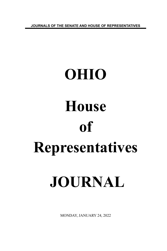**JOURNALS OF THE SENATE AND HOUSE OF REPRESENTATIVES**

# **OHIO House of Representatives JOURNAL**

MONDAY, JANUARY 24, 2022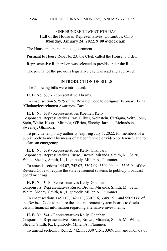# ONE HUNDRED TWENTIETH DAY Hall of the House of Representatives, Columbus, Ohio **Monday, January 24, 2022, 9:00 o'clock a.m.**

The House met pursuant to adjournment.

Pursuant to House Rule No. 23, the Clerk called the House to order.

Representative Richardson was selected to preside under the Rule.

The journal of the previous legislative day was read and approved.

# **INTRODUCTION OF BILLS**

The following bills were introduced:

**H. B. No. 537 -** Representative Abrams.

To enact section 5.2529 of the Revised Code to designate February 12 as "Cholangiocarcinoma Awareness Day."

**H. B. No. 538 -** Representatives Koehler, Kelly.

Cosponsors: Representatives Ray, Hillyer, Weinstein, Carfagna, Seitz, John, Stein, White, Hoops, Miranda, O'Brien, Sheehy, Jarrells, Richardson, Sweeney, Ghanbari.

To provide temporary authority, expiring July 1, 2022, for members of a public body to meet by means of teleconference or video conference, and to declare an emergency.

**H. B. No. 539 -** Representatives Kelly, Ghanbari. Cosponsors: Representatives Russo, Brown, Miranda, Smith, M., Seitz, White, Sheehy, Smith, K., Lightbody, Miller, A., Plummer.

To amend sections 145.07, 742.07, 3307.09, 3309.09, and 5505.04 of the Revised Code to require the state retirement systems to publicly broadcast board meetings.

**H. B. No. 540 -** Representatives Kelly, Ghanbari.

Cosponsors: Representatives Russo, Brown, Miranda, Smith, M., Seitz, White, Sheehy, Smith, K., Lightbody, Miller, A., Plummer.

To enact sections 145.117, 742.117, 3307.16, 3309.151, and 5505.066 of the Revised Code to require the state retirement system boards to disclose certain financial information regarding alternative investments.

**H. B. No. 541 -** Representatives Kelly, Ghanbari.

Cosponsors: Representatives Russo, Brown, Miranda, Smith, M., White, Sheehy, Smith, K., Lightbody, Miller, A., Plummer.

To amend sections 145.112, 742.111, 3307.151, 3309.155, and 5505.08 of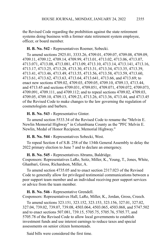the Revised Code regarding the prohibition against the state retirement systems doing business with a former state retirement system employee, officer, or board member.

# **H. B. No. 542 -** Representatives Roemer, Sobecki.

To amend sections 2925.01, 3333.26, 4709.01, 4709.07, 4709.08, 4709.09, 4709.11, 4709.12, 4709.14, 4709.99, 4713.01, 4713.02, 4713.06, 4713.07, 4713.071, 4713.08, 4713.081, 4713.09, 4713.10, 4713.14, 4713.141, 4713.16, 4713.17, 4713.25, 4713.28, 4713.30, 4713.31, 4713.34, 4713.35, 4713.39, 4713.41, 4713.46, 4713.49, 4713.55, 4713.56, 4713.58, 4713.59, 4713.60, 4713.61, 4713.62, 4713.63, 4713.64, 4713.641, 4713.66, and 4713.69; to enact new sections 4709.02, 4709.03, 4709.05, 4709.10, 4709.13, 4713.44, and 4713.45 and sections 4709.031, 4709.051, 4709.071, 4709.072, 4709.073, 4709.091, 4709.111, and 4709.112; and to repeal sections 4709.02, 4709.03, 4709.05, 4709.10, 4709.13, 4709.23, 4713.26, 4713.36, 4713.44, and 4713.45 of the Revised Code to make changes to the law governing the regulation of cosmetologists and barbers.

## **H. B. No. 543 -** Representative Ginter.

To amend section 5533.34 of the Revised Code to rename the "Melvin E. Newlin Memorial Highway" in Columbiana County as the "PFC Melvin E. Newlin, Medal of Honor Recipient, Memorial Highway."

#### **H. B. No. 544 -** Representatives Sobecki, West.

To repeal Section 4 of S.B. 258 of the 134th General Assembly to delay the 2022 primary election to June 7 and to declare an emergency.

#### **H. B. No. 545 -** Representatives Abrams, Baldridge.

Cosponsors: Representatives LaRe, Seitz, Miller, K., Young, T., Jones, White, Ghanbari, Gross, Richardson, Miller, A.

To amend section 4735.05 and to enact section 2317.023 of the Revised Code to generally allow for privileged testimonial communications between a peer support team member and an individual receiving peer support services or advice from the team member.

#### **H. B. No. 546 -** Representative Grendell.

Cosponsors: Representatives Hall, LaRe, Miller, K., Jordan, Gross, Creech.

To amend sections 323.151, 323.152, 323.153, 323.156, 327.01, 327.02, 327.04, 739.02, 739.07, 739.08, 4503.064, 4503.065, 4503.068, and 5747.502 and to enact sections 507.081, 739.15, 5705.75, 5705.76, 5705.77, and 5705.78 of the Revised Code to allow local governments to establish investment funds and use interest earnings to reduce taxes and special assessments on senior citizen homesteads.

Said bills were considered the first time.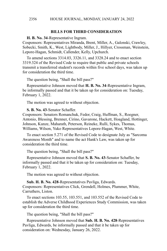# **BILLS FOR THIRD CONSIDERATION**

**H. B. No. 34**-Representative Ingram.

Cosponsors: Representatives Miranda, Brent, Miller, A., Galonski, Crawley, Sobecki, Smith, K., West, Lightbody, Miller, J., Hillyer, Crossman, Weinstein, Lepore-Hagan, Schmidt, Callender, Kelly, Upchurch.

To amend sections 3314.03, 3326.11, and 3328.24 and to enact section 3319.324 of the Revised Code to require that public and private schools transmit a transferred student's records within five school days, was taken up for consideration the third time.

The question being, "Shall the bill pass?"

Representative Johnson moved that **H. B. No. 34**-Representative Ingram, be informally passed and that it be taken up for consideration on: Tuesday, February 1, 2022.

The motion was agreed to without objection.

**S. B. No. 43**-Senator Schaffer.

Cosponsors: Senators Romanchuk, Fedor, Craig, Huffman, S., Roegner, Antonio, Blessing, Brenner, Cirino, Gavarone, Hackett, Hoagland, Hottinger, Johnson, Kunze, Maharath, Peterson, Reineke, Rulli, Sykes, Thomas, Williams, Wilson, Yuko Representatives Lepore-Hagan, West, White.

To enact section 5.271 of the Revised Code to designate July as "Sarcoma Awareness Month" and to name the act Hank's Law, was taken up for consideration the third time.

The question being, "Shall the bill pass?"

Representative Johnson moved that **S. B. No. 43**-Senator Schaffer, be informally passed and that it be taken up for consideration on: Tuesday, February 1, 2022.

The motion was agreed to without objection.

**Sub. H. B. No. 428**-Representatives Pavliga, Edwards. Cosponsors: Representatives Click, Grendell, Holmes, Plummer, White, Carruthers, Liston.

To enact sections 103.55, 103.551, and 103.552 of the Revised Code to establish the Adverse Childhood Experiences Study Commission, was taken up for consideration the third time.

The question being, "Shall the bill pass?"

Representative Johnson moved that **Sub. H. B. No. 428**-Representatives Pavliga, Edwards, be informally passed and that it be taken up for consideration on: Wednesday, January 26, 2022.